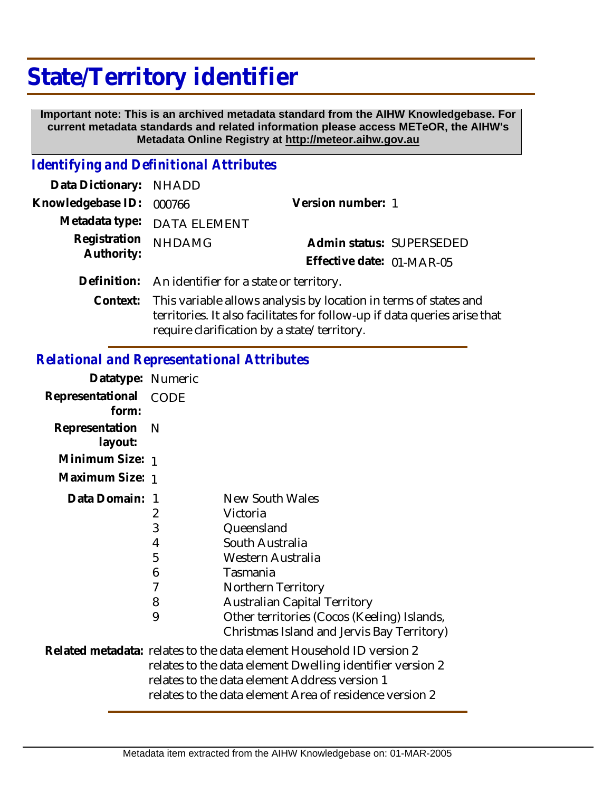## **State/Territory identifier**

 **Important note: This is an archived metadata standard from the AIHW Knowledgebase. For current metadata standards and related information please access METeOR, the AIHW's Metadata Online Registry at http://meteor.aihw.gov.au**

## *Identifying and Definitional Attributes*

| Data Dictionary: NHADD   |                                                                           |                           |                          |
|--------------------------|---------------------------------------------------------------------------|---------------------------|--------------------------|
| Knowledgebase ID: 000766 |                                                                           | Version number: 1         |                          |
|                          | Metadata type: DATA ELEMENT                                               |                           |                          |
| Registration             | <b>NHDAMG</b>                                                             |                           | Admin status: SUPERSEDED |
| Authority:               |                                                                           | Effective date: 01-MAR-05 |                          |
|                          | Definition: An identifier for a state or territory.                       |                           |                          |
|                          | Context: This variable allows analysis by location in terms of states are |                           |                          |

This variable allows analysis by location in terms of states and territories. It also facilitates for follow-up if data queries arise that require clarification by a state/territory.

## *Relational and Representational Attributes*

| Datatype: Numeric         |                                      |                                                                                                                                                                                                                                                         |
|---------------------------|--------------------------------------|---------------------------------------------------------------------------------------------------------------------------------------------------------------------------------------------------------------------------------------------------------|
| Representational<br>form: | <b>CODE</b>                          |                                                                                                                                                                                                                                                         |
| Representation<br>layout: | <sup>N</sup>                         |                                                                                                                                                                                                                                                         |
| Minimum Size: 1           |                                      |                                                                                                                                                                                                                                                         |
| Maximum Size: 1           |                                      |                                                                                                                                                                                                                                                         |
| Data Domain:              | 2<br>3<br>4<br>5<br>6<br>7<br>8<br>9 | New South Wales<br>Victoria<br>Queensland<br>South Australia<br>Western Australia<br>Tasmania<br>Northern Territory<br><b>Australian Capital Territory</b><br>Other territories (Cocos (Keeling) Islands,<br>Christmas Island and Jervis Bay Territory) |
|                           |                                      | Related metadata: relates to the data element Household ID version 2<br>relates to the data element Dwelling identifier version 2<br>relates to the data element Address version 1<br>relates to the data element Area of residence version 2           |